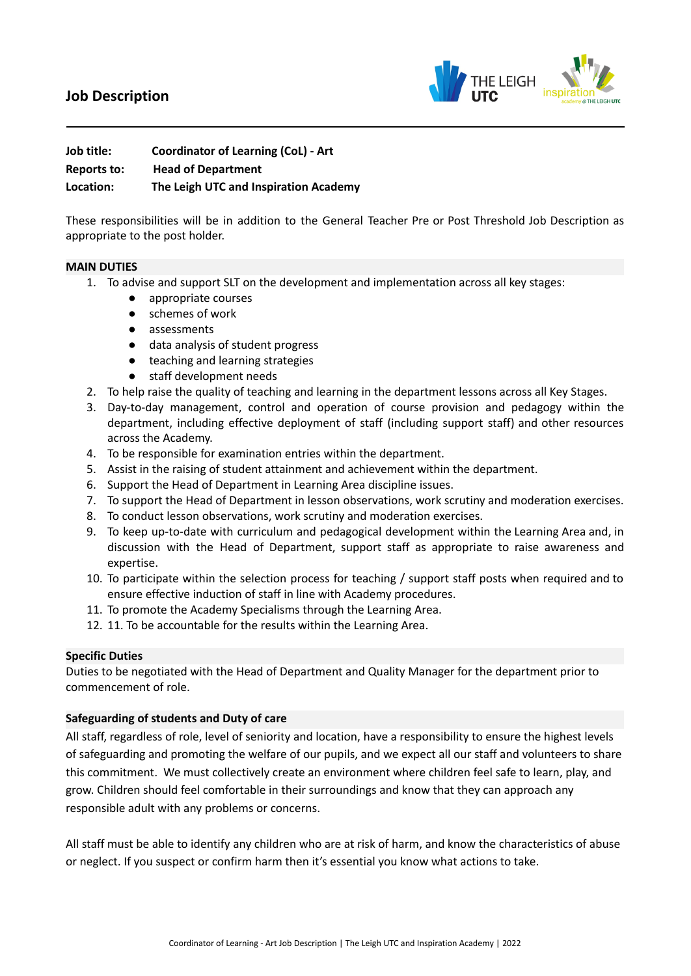# **Job Description**



| Job title:  | <b>Coordinator of Learning (CoL) - Art</b> |
|-------------|--------------------------------------------|
| Reports to: | <b>Head of Department</b>                  |
| Location:   | The Leigh UTC and Inspiration Academy      |

These responsibilities will be in addition to the General Teacher Pre or Post Threshold Job Description as appropriate to the post holder.

## **MAIN DUTIES**

- 1. To advise and support SLT on the development and implementation across all key stages:
	- appropriate courses
	- schemes of work
	- assessments
	- data analysis of student progress
	- teaching and learning strategies
	- staff development needs
- 2. To help raise the quality of teaching and learning in the department lessons across all Key Stages.
- 3. Day-to-day management, control and operation of course provision and pedagogy within the department, including effective deployment of staff (including support staff) and other resources across the Academy.
- 4. To be responsible for examination entries within the department.
- 5. Assist in the raising of student attainment and achievement within the department.
- 6. Support the Head of Department in Learning Area discipline issues.
- 7. To support the Head of Department in lesson observations, work scrutiny and moderation exercises.
- 8. To conduct lesson observations, work scrutiny and moderation exercises.
- 9. To keep up-to-date with curriculum and pedagogical development within the Learning Area and, in discussion with the Head of Department, support staff as appropriate to raise awareness and expertise.
- 10. To participate within the selection process for teaching / support staff posts when required and to ensure effective induction of staff in line with Academy procedures.
- 11. To promote the Academy Specialisms through the Learning Area.
- 12. 11. To be accountable for the results within the Learning Area.

#### **Specific Duties**

Duties to be negotiated with the Head of Department and Quality Manager for the department prior to commencement of role.

## **Safeguarding of students and Duty of care**

All staff, regardless of role, level of seniority and location, have a responsibility to ensure the highest levels of safeguarding and promoting the welfare of our pupils, and we expect all our staff and volunteers to share this commitment. We must collectively create an environment where children feel safe to learn, play, and grow. Children should feel comfortable in their surroundings and know that they can approach any responsible adult with any problems or concerns.

All staff must be able to identify any children who are at risk of harm, and know the characteristics of abuse or neglect. If you suspect or confirm harm then it's essential you know what actions to take.